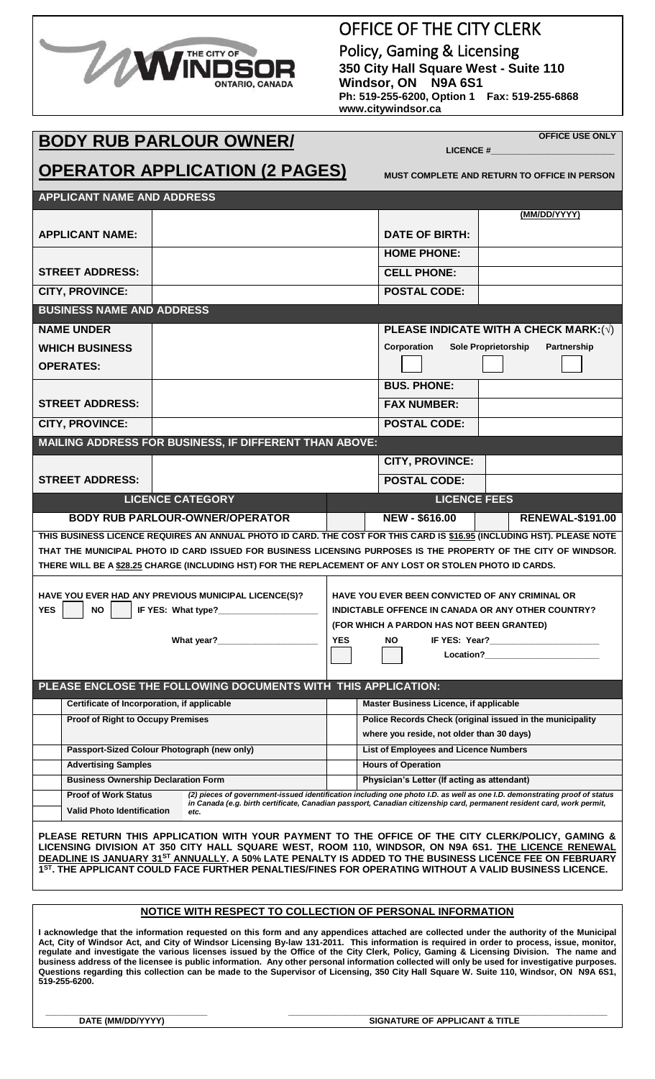### OFFICE OF THE CITY CLERK

Policy, Gaming & Licensing **350 City Hall Square West - Suite 110 Windsor, ON N9A 6S1 Ph: 519-255-6200, Option 1 Fax: 519-255-6868 www.citywindsor.ca**

**BODY RUB PARLOUR OWNER/**

 **LICENCE #\_\_\_\_\_\_\_\_\_\_\_\_\_\_\_\_\_\_\_\_\_\_\_\_\_\_**

**OFFICE USE ONLY**

**MUST COMPLETE AND RETURN TO OFFICE IN PERSON**

| <b>APPLICANT NAME AND ADDRESS</b>                                                                                                                                                                                                                                                                                                                                                                                           |                                                                                                                                                                                                                                                             |                                                                 |                                                           |                     |                                              |  |
|-----------------------------------------------------------------------------------------------------------------------------------------------------------------------------------------------------------------------------------------------------------------------------------------------------------------------------------------------------------------------------------------------------------------------------|-------------------------------------------------------------------------------------------------------------------------------------------------------------------------------------------------------------------------------------------------------------|-----------------------------------------------------------------|-----------------------------------------------------------|---------------------|----------------------------------------------|--|
|                                                                                                                                                                                                                                                                                                                                                                                                                             |                                                                                                                                                                                                                                                             |                                                                 |                                                           |                     | (MM/DD/YYYY)                                 |  |
| <b>APPLICANT NAME:</b>                                                                                                                                                                                                                                                                                                                                                                                                      |                                                                                                                                                                                                                                                             |                                                                 | <b>DATE OF BIRTH:</b>                                     |                     |                                              |  |
|                                                                                                                                                                                                                                                                                                                                                                                                                             |                                                                                                                                                                                                                                                             |                                                                 | <b>HOME PHONE:</b>                                        |                     |                                              |  |
| <b>STREET ADDRESS:</b>                                                                                                                                                                                                                                                                                                                                                                                                      |                                                                                                                                                                                                                                                             |                                                                 |                                                           |                     |                                              |  |
| <b>CITY, PROVINCE:</b>                                                                                                                                                                                                                                                                                                                                                                                                      |                                                                                                                                                                                                                                                             |                                                                 | <b>POSTAL CODE:</b>                                       |                     |                                              |  |
| <b>BUSINESS NAME AND ADDRESS</b>                                                                                                                                                                                                                                                                                                                                                                                            |                                                                                                                                                                                                                                                             |                                                                 |                                                           |                     |                                              |  |
| <b>NAME UNDER</b>                                                                                                                                                                                                                                                                                                                                                                                                           |                                                                                                                                                                                                                                                             |                                                                 |                                                           |                     | PLEASE INDICATE WITH A CHECK MARK: $(\sqrt)$ |  |
| <b>WHICH BUSINESS</b>                                                                                                                                                                                                                                                                                                                                                                                                       |                                                                                                                                                                                                                                                             | Corporation<br><b>Sole Proprietorship</b><br><b>Partnership</b> |                                                           |                     |                                              |  |
| <b>OPERATES:</b>                                                                                                                                                                                                                                                                                                                                                                                                            |                                                                                                                                                                                                                                                             |                                                                 |                                                           |                     |                                              |  |
|                                                                                                                                                                                                                                                                                                                                                                                                                             |                                                                                                                                                                                                                                                             |                                                                 | <b>BUS, PHONE:</b>                                        |                     |                                              |  |
| <b>STREET ADDRESS:</b>                                                                                                                                                                                                                                                                                                                                                                                                      |                                                                                                                                                                                                                                                             |                                                                 | <b>FAX NUMBER:</b>                                        |                     |                                              |  |
| <b>CITY, PROVINCE:</b>                                                                                                                                                                                                                                                                                                                                                                                                      |                                                                                                                                                                                                                                                             |                                                                 | <b>POSTAL CODE:</b>                                       |                     |                                              |  |
| MAILING ADDRESS FOR BUSINESS, IF DIFFERENT THAN ABOVE:                                                                                                                                                                                                                                                                                                                                                                      |                                                                                                                                                                                                                                                             |                                                                 |                                                           |                     |                                              |  |
|                                                                                                                                                                                                                                                                                                                                                                                                                             |                                                                                                                                                                                                                                                             |                                                                 | <b>CITY, PROVINCE:</b>                                    |                     |                                              |  |
| <b>STREET ADDRESS:</b>                                                                                                                                                                                                                                                                                                                                                                                                      |                                                                                                                                                                                                                                                             |                                                                 | <b>POSTAL CODE:</b>                                       |                     |                                              |  |
| <b>LICENCE CATEGORY</b>                                                                                                                                                                                                                                                                                                                                                                                                     |                                                                                                                                                                                                                                                             |                                                                 |                                                           | <b>LICENCE FEES</b> |                                              |  |
| <b>BODY RUB PARLOUR-OWNER/OPERATOR</b>                                                                                                                                                                                                                                                                                                                                                                                      |                                                                                                                                                                                                                                                             |                                                                 | <b>NEW - \$616.00</b>                                     |                     | <b>RENEWAL-\$191.00</b>                      |  |
| THIS BUSINESS LICENCE REQUIRES AN ANNUAL PHOTO ID CARD. THE COST FOR THIS CARD IS \$16.95 (INCLUDING HST). PLEASE NOTE                                                                                                                                                                                                                                                                                                      |                                                                                                                                                                                                                                                             |                                                                 |                                                           |                     |                                              |  |
| THAT THE MUNICIPAL PHOTO ID CARD ISSUED FOR BUSINESS LICENSING PURPOSES IS THE PROPERTY OF THE CITY OF WINDSOR.                                                                                                                                                                                                                                                                                                             |                                                                                                                                                                                                                                                             |                                                                 |                                                           |                     |                                              |  |
| THERE WILL BE A \$28.25 CHARGE (INCLUDING HST) FOR THE REPLACEMENT OF ANY LOST OR STOLEN PHOTO ID CARDS.                                                                                                                                                                                                                                                                                                                    |                                                                                                                                                                                                                                                             |                                                                 |                                                           |                     |                                              |  |
| HAVE YOU EVER HAD ANY PREVIOUS MUNICIPAL LICENCE(S)?                                                                                                                                                                                                                                                                                                                                                                        |                                                                                                                                                                                                                                                             |                                                                 | <b>HAVE YOU EVER BEEN CONVICTED OF ANY CRIMINAL OR</b>    |                     |                                              |  |
| <b>YES</b><br><b>NO</b>                                                                                                                                                                                                                                                                                                                                                                                                     |                                                                                                                                                                                                                                                             |                                                                 | <b>INDICTABLE OFFENCE IN CANADA OR ANY OTHER COUNTRY?</b> |                     |                                              |  |
|                                                                                                                                                                                                                                                                                                                                                                                                                             |                                                                                                                                                                                                                                                             | (FOR WHICH A PARDON HAS NOT BEEN GRANTED)                       |                                                           |                     |                                              |  |
| What year?                                                                                                                                                                                                                                                                                                                                                                                                                  |                                                                                                                                                                                                                                                             | <b>YES</b>                                                      | NO.                                                       |                     |                                              |  |
|                                                                                                                                                                                                                                                                                                                                                                                                                             |                                                                                                                                                                                                                                                             |                                                                 |                                                           |                     |                                              |  |
| PLEASE ENCLOSE THE FOLLOWING DOCUMENTS WITH THIS APPLICATION:                                                                                                                                                                                                                                                                                                                                                               |                                                                                                                                                                                                                                                             |                                                                 |                                                           |                     |                                              |  |
| Certificate of Incorporation, if applicable                                                                                                                                                                                                                                                                                                                                                                                 | Master Business Licence, if applicable                                                                                                                                                                                                                      |                                                                 |                                                           |                     |                                              |  |
| <b>Proof of Right to Occupy Premises</b>                                                                                                                                                                                                                                                                                                                                                                                    |                                                                                                                                                                                                                                                             | Police Records Check (original issued in the municipality       |                                                           |                     |                                              |  |
|                                                                                                                                                                                                                                                                                                                                                                                                                             |                                                                                                                                                                                                                                                             |                                                                 | where you reside, not older than 30 days)                 |                     |                                              |  |
| Passport-Sized Colour Photograph (new only)                                                                                                                                                                                                                                                                                                                                                                                 |                                                                                                                                                                                                                                                             |                                                                 | List of Employees and Licence Numbers                     |                     |                                              |  |
| <b>Advertising Samples</b>                                                                                                                                                                                                                                                                                                                                                                                                  |                                                                                                                                                                                                                                                             |                                                                 | <b>Hours of Operation</b>                                 |                     |                                              |  |
| <b>Business Ownership Declaration Form</b>                                                                                                                                                                                                                                                                                                                                                                                  |                                                                                                                                                                                                                                                             | Physician's Letter (If acting as attendant)                     |                                                           |                     |                                              |  |
| <b>Proof of Work Status</b><br><b>Valid Photo Identification</b>                                                                                                                                                                                                                                                                                                                                                            | (2) pieces of government-issued identification including one photo I.D. as well as one I.D. demonstrating proof of status<br>in Canada (e.g. birth certificate, Canadian passport, Canadian citizenship card, permanent resident card, work permit,<br>etc. |                                                                 |                                                           |                     |                                              |  |
| PLEASE RETURN THIS APPLICATION WITH YOUR PAYMENT TO THE OFFICE OF THE CITY CLERK/POLICY, GAMING &<br>LICENSING DIVISION AT 350 CITY HALL SQUARE WEST, ROOM 110, WINDSOR, ON N9A 6S1. THE LICENCE RENEWAL<br>DEADLINE IS JANUARY 31ST ANNUALLY. A 50% LATE PENALTY IS ADDED TO THE BUSINESS LICENCE FEE ON FEBRUARY<br>1ST. THE APPLICANT COULD FACE FURTHER PENALTIES/FINES FOR OPERATING WITHOUT A VALID BUSINESS LICENCE. |                                                                                                                                                                                                                                                             |                                                                 |                                                           |                     |                                              |  |

**NOTICE WITH RESPECT TO COLLECTION OF PERSONAL INFORMATION**

**I acknowledge that the information requested on this form and any appendices attached are collected under the authority of the Municipal Act, City of Windsor Act, and City of Windsor Licensing By-law 131-2011. This information is required in order to process, issue, monitor, regulate and investigate the various licenses issued by the Office of the City Clerk, Policy, Gaming & Licensing Division. The name and business address of the licensee is public information. Any other personal information collected will only be used for investigative purposes. Questions regarding this collection can be made to the Supervisor of Licensing, 350 City Hall Square W. Suite 110, Windsor, ON N9A 6S1, 519-255-6200.**